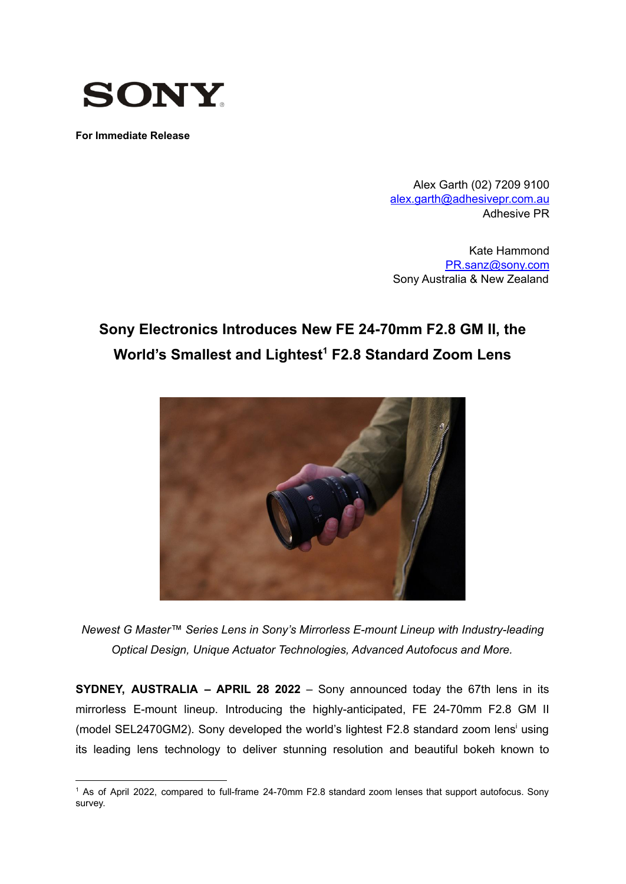

**For Immediate Release**

Alex Garth (02) 7209 9100 [alex.garth@adhesivepr.com.au](mailto:alex.garth@adhesivepr.com.au) Adhesive PR

Kate Hammond [PR.sanz@sony.com](mailto:PR.sanz@sony.com) Sony Australia & New Zealand

# **Sony Electronics Introduces New FE 24-70mm F2.8 GM II, the World's Smallest and Lightest <sup>1</sup> F2.8 Standard Zoom Lens**



*Newest G Master™ Series Lens in Sony's Mirrorless E-mount Lineup with Industry-leading Optical Design, Unique Actuator Technologies, Advanced Autofocus and More.*

**SYDNEY, AUSTRALIA – APRIL 28 2022** – Sony announced today the 67th lens in its mirrorless E-mount lineup. Introducing the highly-anticipated, FE 24-70mm F2.8 GM II (model SEL2470GM2). Sony developed the world's lightest F2.8 standard zoom lens<sup>i</sup> using its leading lens technology to deliver stunning resolution and beautiful bokeh known to

<sup>1</sup> As of April 2022, compared to full-frame 24-70mm F2.8 standard zoom lenses that support autofocus. Sony survey.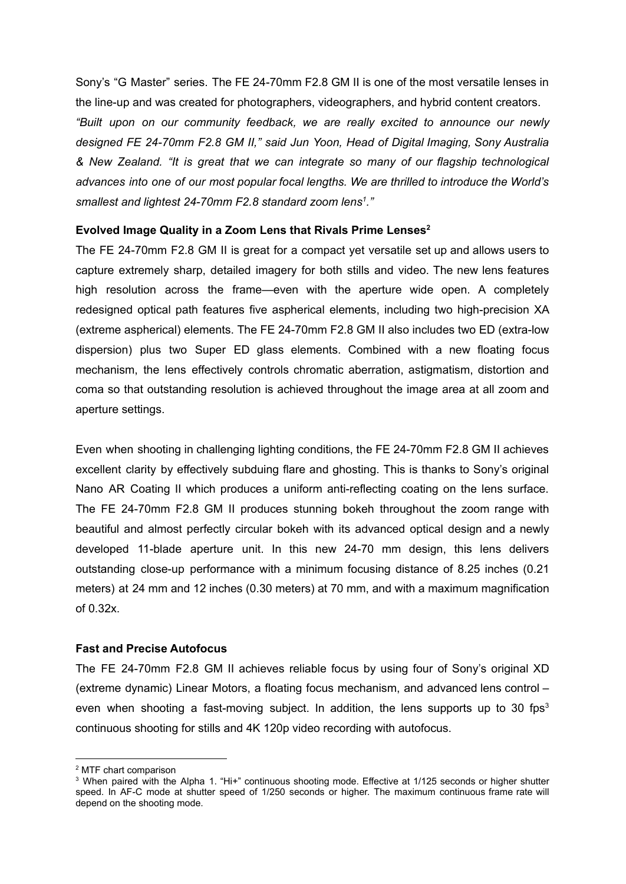Sony's "G Master" series. The FE 24-70mm F2.8 GM II is one of the most versatile lenses in the line-up and was created for photographers, videographers, and hybrid content creators. *"Built upon on our community feedback, we are really excited to announce our newly designed FE 24-70mm F2.8 GM II," said Jun Yoon, Head of Digital Imaging, Sony Australia & New Zealand. "It is great that we can integrate so many of our flagship technological advances into one of our most popular focal lengths. We are thrilled to introduce the World's smallest and lightest 24-70mm F2.8 standard zoom lens 1 ."*

## **Evolved Image Quality in a Zoom Lens that Rivals Prime Lenses 2**

The FE 24-70mm F2.8 GM II is great for a compact yet versatile set up and allows users to capture extremely sharp, detailed imagery for both stills and video. The new lens features high resolution across the frame—even with the aperture wide open. A completely redesigned optical path features five aspherical elements, including two high-precision XA (extreme aspherical) elements. The FE 24-70mm F2.8 GM II also includes two ED (extra-low dispersion) plus two Super ED glass elements. Combined with a new floating focus mechanism, the lens effectively controls chromatic aberration, astigmatism, distortion and coma so that outstanding resolution is achieved throughout the image area at all zoom and aperture settings.

Even when shooting in challenging lighting conditions, the FE 24-70mm F2.8 GM II achieves excellent clarity by effectively subduing flare and ghosting. This is thanks to Sony's original Nano AR Coating II which produces a uniform anti-reflecting coating on the lens surface. The FE 24-70mm F2.8 GM II produces stunning bokeh throughout the zoom range with beautiful and almost perfectly circular bokeh with its advanced optical design and a newly developed 11-blade aperture unit. In this new 24-70 mm design, this lens delivers outstanding close-up performance with a minimum focusing distance of 8.25 inches (0.21 meters) at 24 mm and 12 inches (0.30 meters) at 70 mm, and with a maximum magnification of 0.32x.

#### **Fast and Precise Autofocus**

The FE 24-70mm F2.8 GM II achieves reliable focus by using four of Sony's original XD (extreme dynamic) Linear Motors, a floating focus mechanism, and advanced lens control – even when shooting a fast-moving subject. In addition, the lens supports up to 30 fps<sup>3</sup> continuous shooting for stills and 4K 120p video recording with autofocus.

<sup>2</sup> MTF chart comparison

<sup>&</sup>lt;sup>3</sup> When paired with the Alpha 1. "Hi+" continuous shooting mode. Effective at 1/125 seconds or higher shutter speed. In AF-C mode at shutter speed of 1/250 seconds or higher. The maximum continuous frame rate will depend on the shooting mode.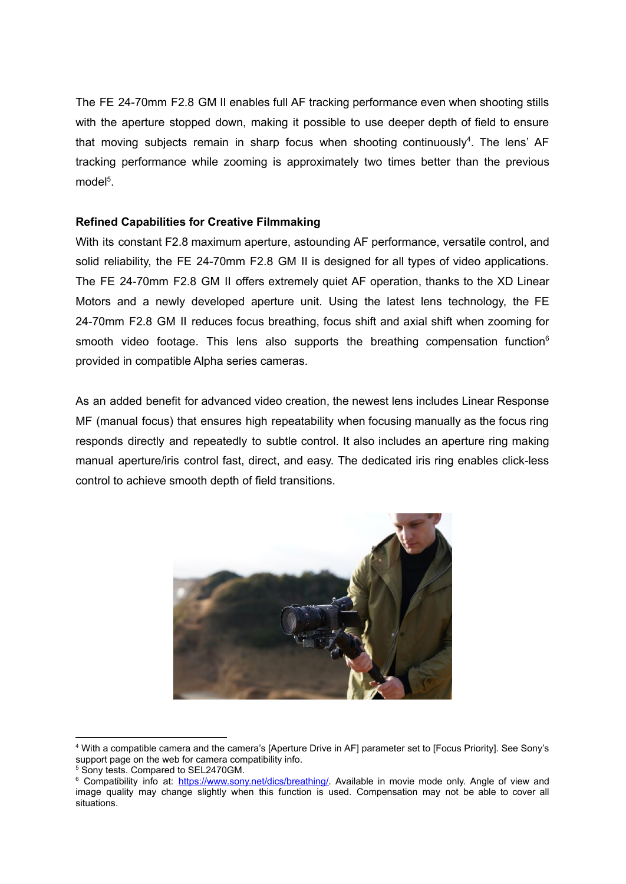The FE 24-70mm F2.8 GM II enables full AF tracking performance even when shooting stills with the aperture stopped down, making it possible to use deeper depth of field to ensure that moving subjects remain in sharp focus when shooting continuously<sup>4</sup>. The lens' AF tracking performance while zooming is approximately two times better than the previous model<sup>5</sup>.

## **Refined Capabilities for Creative Filmmaking**

With its constant F2.8 maximum aperture, astounding AF performance, versatile control, and solid reliability, the FE 24-70mm F2.8 GM II is designed for all types of video applications. The FE 24-70mm F2.8 GM II offers extremely quiet AF operation, thanks to the XD Linear Motors and a newly developed aperture unit. Using the latest lens technology, the FE 24-70mm F2.8 GM II reduces focus breathing, focus shift and axial shift when zooming for smooth video footage. This lens also supports the breathing compensation function $6$ provided in compatible Alpha series cameras.

As an added benefit for advanced video creation, the newest lens includes Linear Response MF (manual focus) that ensures high repeatability when focusing manually as the focus ring responds directly and repeatedly to subtle control. It also includes an aperture ring making manual aperture/iris control fast, direct, and easy. The dedicated iris ring enables click-less control to achieve smooth depth of field transitions.



<sup>4</sup> With a compatible camera and the camera's [Aperture Drive in AF] parameter set to [Focus Priority]. See Sony's support page on the web for camera compatibility info.

<sup>&</sup>lt;sup>5</sup> Sony tests. Compared to SEL2470GM.

<sup>&</sup>lt;sup>6</sup> Compatibility info at: [https://www.sony.net/dics/breathing/.](https://www.sony.net/dics/breathing/) Available in movie mode only. Angle of view and image quality may change slightly when this function is used. Compensation may not be able to cover all situations.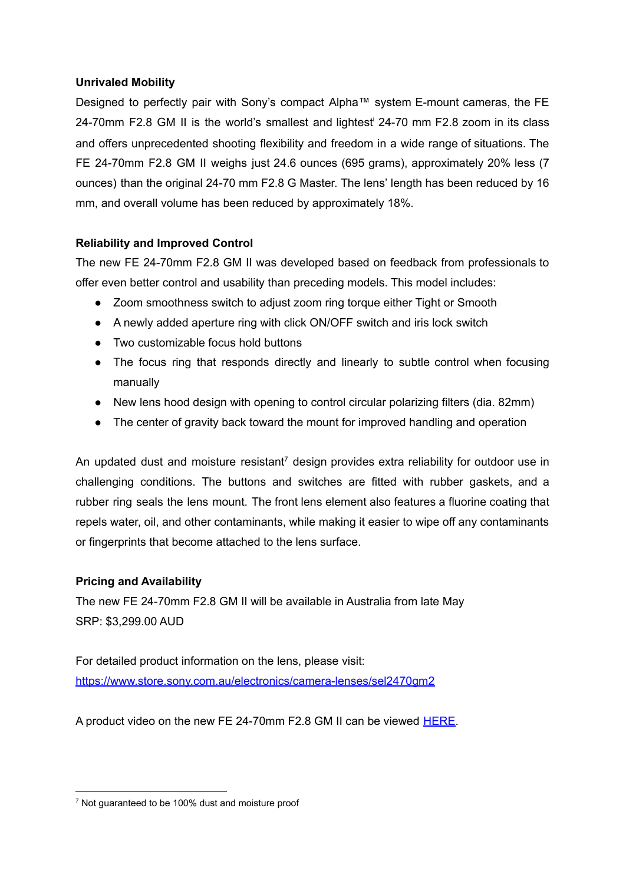## **Unrivaled Mobility**

Designed to perfectly pair with Sony's compact Alpha™ system E-mount cameras, the FE 24-70mm F2.8 GM II is the world's smallest and lightest <sup>i</sup> 24-70 mm F2.8 zoom in its class and offers unprecedented shooting flexibility and freedom in a wide range of situations. The FE 24-70mm F2.8 GM II weighs just 24.6 ounces (695 grams), approximately 20% less (7 ounces) than the original 24-70 mm F2.8 G Master. The lens' length has been reduced by 16 mm, and overall volume has been reduced by approximately 18%.

# **Reliability and Improved Control**

The new FE 24-70mm F2.8 GM II was developed based on feedback from professionals to offer even better control and usability than preceding models. This model includes:

- Zoom smoothness switch to adjust zoom ring torque either Tight or Smooth
- A newly added aperture ring with click ON/OFF switch and iris lock switch
- Two customizable focus hold buttons
- The focus ring that responds directly and linearly to subtle control when focusing manually
- New lens hood design with opening to control circular polarizing filters (dia. 82mm)
- The center of gravity back toward the mount for improved handling and operation

An updated dust and moisture resistant<sup>7</sup> design provides extra reliability for outdoor use in challenging conditions. The buttons and switches are fitted with rubber gaskets, and a rubber ring seals the lens mount. The front lens element also features a fluorine coating that repels water, oil, and other contaminants, while making it easier to wipe off any contaminants or fingerprints that become attached to the lens surface.

# **Pricing and Availability**

The new FE 24-70mm F2.8 GM II will be available in Australia from late May SRP: \$3,299.00 AUD

For detailed product information on the lens, please visit: <https://www.store.sony.com.au/electronics/camera-lenses/sel2470gm2>

A product video on the new FE 24-70mm F2.8 GM II can be viewed **HERE**.

<sup>&</sup>lt;sup>7</sup> Not guaranteed to be 100% dust and moisture proof